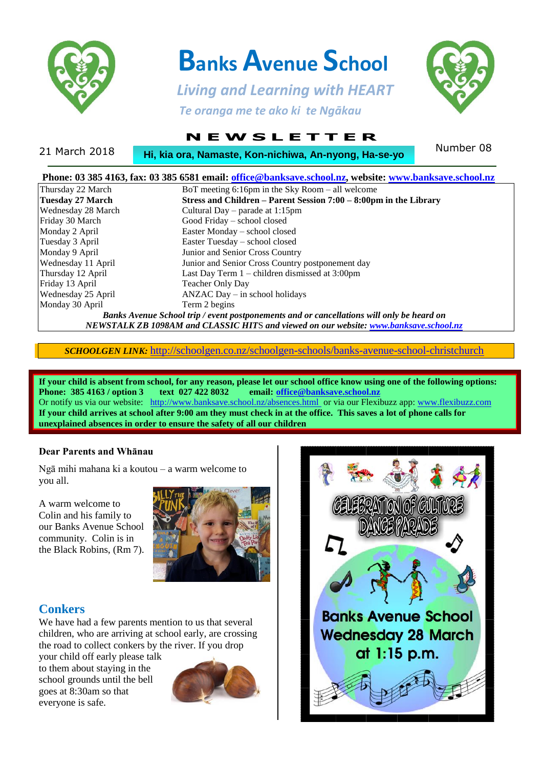

# **Banks Avenue School**

 *Living and Learning with HEART Te oranga me te ako ki te Ngākau*



## **N E W S L E T T E R**

21 March 2018 **Number 08**<br> **Hi, kia ora, Namaste, Kon-nichiwa, An-nyong, Ha-se-yo** Number 08

| Phone: 03 385 4163, fax: 03 385 6581 email: office@banksave.school.nz, website: www.banksave.school.nz |                                                                                                                                                                                    |
|--------------------------------------------------------------------------------------------------------|------------------------------------------------------------------------------------------------------------------------------------------------------------------------------------|
| Thursday 22 March                                                                                      | BoT meeting $6:16$ pm in the Sky Room – all welcome                                                                                                                                |
| Tuesday 27 March                                                                                       | Stress and Children - Parent Session 7:00 - 8:00pm in the Library                                                                                                                  |
| Wednesday 28 March                                                                                     | Cultural Day – parade at 1:15pm                                                                                                                                                    |
| Friday 30 March                                                                                        | Good Friday - school closed                                                                                                                                                        |
| Monday 2 April                                                                                         | Easter Monday - school closed                                                                                                                                                      |
| Tuesday 3 April                                                                                        | Easter Tuesday - school closed                                                                                                                                                     |
| Monday 9 April                                                                                         | Junior and Senior Cross Country                                                                                                                                                    |
| Wednesday 11 April                                                                                     | Junior and Senior Cross Country postponement day                                                                                                                                   |
| Thursday 12 April                                                                                      | Last Day Term $1$ – children dismissed at 3:00pm                                                                                                                                   |
| Friday 13 April                                                                                        | <b>Teacher Only Day</b>                                                                                                                                                            |
| Wednesday 25 April                                                                                     | $ANZAC$ Day $-$ in school holidays                                                                                                                                                 |
| Monday 30 April                                                                                        | Term 2 begins                                                                                                                                                                      |
|                                                                                                        | Banks Avenue School trip / event postponements and or cancellations will only be heard on<br>NEWSTALK ZB 1098AM and CLASSIC HITS and viewed on our website: www.banksave.school.nz |

*SCHOOLGEN LINK:* <http://schoolgen.co.nz/schoolgen-schools/banks-avenue-school-christchurch>

**If your child is absent from school, for any reason, please let our school office know using one of the following options: Phone: 385 4163 / option 3 text 027 422 8032 email: [office@banksave.school.nz](mailto:office@banksave.school.nz)** Or notify us via our website: <http://www.banksave.school.nz/absences.html> or via our Flexibuzz app: [www.flexibuzz.com](http://www.flexibuzz.com/) **If your child arrives at school after 9:00 am they must check in at the office. This saves a lot of phone calls for unexplained absences in order to ensure the safety of all our children**

#### **Dear Parents and Whānau**

Ngā mihi mahana ki a koutou – a warm welcome to you all.

A warm welcome to Colin and his family to our Banks Avenue School community. Colin is in the Black Robins, (Rm 7).



### **Conkers**

We have had a few parents mention to us that several children, who are arriving at school early, are crossing the road to collect conkers by the river. If you drop

your child off early please talk to them about staying in the school grounds until the bell goes at 8:30am so that everyone is safe.